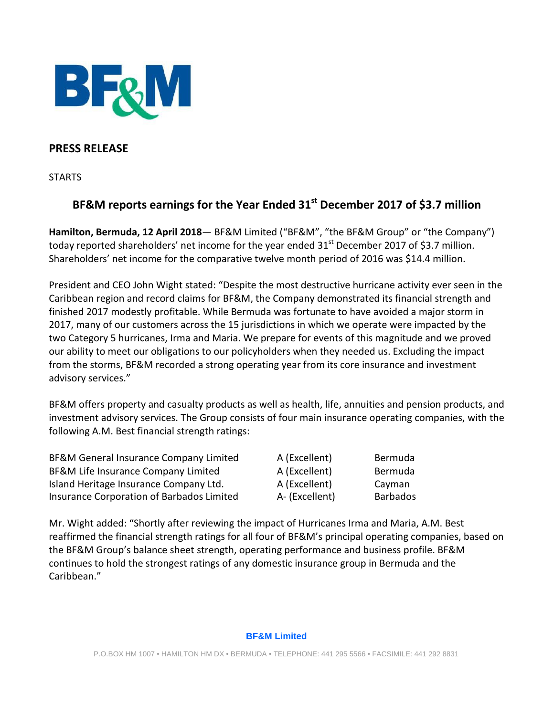

## **PRESS RELEASE**

**STARTS** 

# **BF&M reports earnings for the Year Ended 31st December 2017 of \$3.7 million**

**Hamilton, Bermuda, 12 April 2018**— BF&M Limited ("BF&M", "the BF&M Group" or "the Company") today reported shareholders' net income for the year ended  $31<sup>st</sup>$  December 2017 of \$3.7 million. Shareholders' net income for the comparative twelve month period of 2016 was \$14.4 million.

President and CEO John Wight stated: "Despite the most destructive hurricane activity ever seen in the Caribbean region and record claims for BF&M, the Company demonstrated its financial strength and finished 2017 modestly profitable. While Bermuda was fortunate to have avoided a major storm in 2017, many of our customers across the 15 jurisdictions in which we operate were impacted by the two Category 5 hurricanes, Irma and Maria. We prepare for events of this magnitude and we proved our ability to meet our obligations to our policyholders when they needed us. Excluding the impact from the storms, BF&M recorded a strong operating year from its core insurance and investment advisory services."

BF&M offers property and casualty products as well as health, life, annuities and pension products, and investment advisory services. The Group consists of four main insurance operating companies, with the following A.M. Best financial strength ratings:

BF&M General Insurance Company Limited A (Excellent) Bermuda BF&M Life Insurance Company Limited A (Excellent) Bermuda Island Heritage Insurance Company Ltd. A (Excellent) Cayman Insurance Corporation of Barbados Limited A- (Excellent) Barbados

Mr. Wight added: "Shortly after reviewing the impact of Hurricanes Irma and Maria, A.M. Best reaffirmed the financial strength ratings for all four of BF&M's principal operating companies, based on the BF&M Group's balance sheet strength, operating performance and business profile. BF&M continues to hold the strongest ratings of any domestic insurance group in Bermuda and the Caribbean."

#### **BF&M Limited**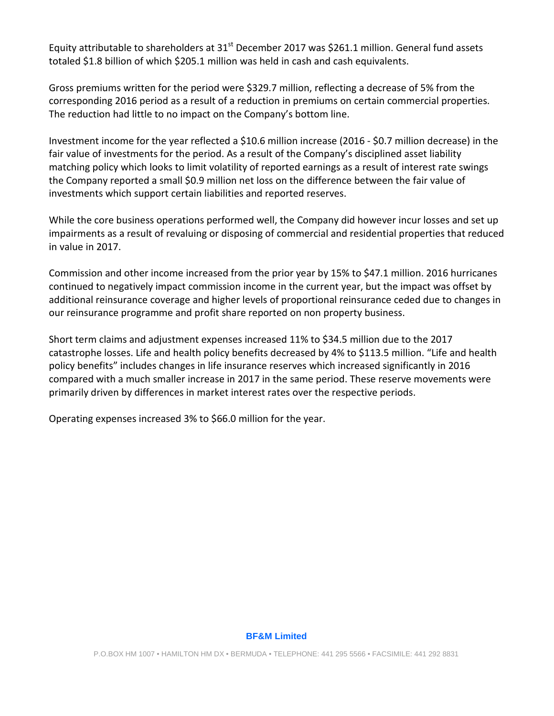Equity attributable to shareholders at  $31<sup>st</sup>$  December 2017 was \$261.1 million. General fund assets totaled \$1.8 billion of which \$205.1 million was held in cash and cash equivalents.

Gross premiums written for the period were \$329.7 million, reflecting a decrease of 5% from the corresponding 2016 period as a result of a reduction in premiums on certain commercial properties. The reduction had little to no impact on the Company's bottom line.

Investment income for the year reflected a \$10.6 million increase (2016 - \$0.7 million decrease) in the fair value of investments for the period. As a result of the Company's disciplined asset liability matching policy which looks to limit volatility of reported earnings as a result of interest rate swings the Company reported a small \$0.9 million net loss on the difference between the fair value of investments which support certain liabilities and reported reserves.

While the core business operations performed well, the Company did however incur losses and set up impairments as a result of revaluing or disposing of commercial and residential properties that reduced in value in 2017.

Commission and other income increased from the prior year by 15% to \$47.1 million. 2016 hurricanes continued to negatively impact commission income in the current year, but the impact was offset by additional reinsurance coverage and higher levels of proportional reinsurance ceded due to changes in our reinsurance programme and profit share reported on non property business.

Short term claims and adjustment expenses increased 11% to \$34.5 million due to the 2017 catastrophe losses. Life and health policy benefits decreased by 4% to \$113.5 million. "Life and health policy benefits" includes changes in life insurance reserves which increased significantly in 2016 compared with a much smaller increase in 2017 in the same period. These reserve movements were primarily driven by differences in market interest rates over the respective periods.

Operating expenses increased 3% to \$66.0 million for the year.

#### **BF&M Limited**